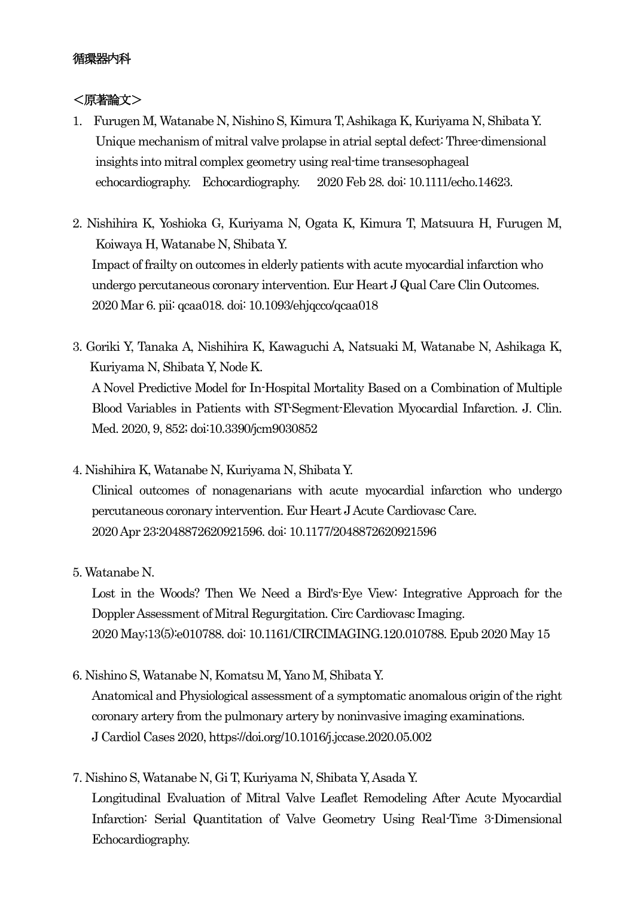# 循環器内科

## <原著論文>

- 1. Furugen M, Watanabe N, Nishino S, Kimura T, Ashikaga K, Kuriyama N, Shibata Y. Unique mechanism of mitral valve prolapse in atrial septal defect: Three-dimensional insights into mitral complex geometry using real-time transesophageal echocardiography. Echocardiography. 2020 Feb 28. doi: 10.1111/echo.14623.
- 2. Nishihira K, Yoshioka G, Kuriyama N, Ogata K, Kimura T, Matsuura H, Furugen M, Koiwaya H, Watanabe N, Shibata Y. Impact of frailty on outcomes in elderly patients with acute myocardial infarction who undergo percutaneous coronary intervention. Eur Heart J Qual Care Clin Outcomes. 2020 Mar 6. pii: qcaa018. doi: 10.1093/ehjqcco/qcaa018
- 3. Goriki Y, Tanaka A, Nishihira K, Kawaguchi A, Natsuaki M, Watanabe N, Ashikaga K, Kuriyama N, Shibata Y, Node K. A Novel Predictive Model for In-Hospital Mortality Based on a Combination of Multiple Blood Variables in Patients with ST-Segment-Elevation Myocardial Infarction. J. Clin. Med. 2020, 9, 852; doi:10.3390/jcm9030852
- 4. Nishihira K, Watanabe N, Kuriyama N, Shibata Y.

Clinical outcomes of nonagenarians with acute myocardial infarction who undergo percutaneous coronary intervention. Eur Heart J Acute Cardiovasc Care. 2020 Apr 23:2048872620921596. doi: 10.1177/2048872620921596

5. Watanabe N.

Lost in the Woods? Then We Need a Bird's-Eye View: Integrative Approach for the Doppler Assessment of Mitral Regurgitation. Circ Cardiovasc Imaging. 2020 May;13(5):e010788. doi: 10.1161/CIRCIMAGING.120.010788. Epub 2020 May 15

6. Nishino S, Watanabe N, Komatsu M, Yano M, Shibata Y.

Anatomical and Physiological assessment of a symptomatic anomalous origin of the right coronary artery from the pulmonary artery by noninvasive imaging examinations. J Cardiol Cases 2020, https://doi.org/10.1016/j.jccase.2020.05.002

7. Nishino S, Watanabe N, Gi T, Kuriyama N, Shibata Y, Asada Y. Longitudinal Evaluation of Mitral Valve Leaflet Remodeling After Acute Myocardial Infarction: Serial Quantitation of Valve Geometry Using Real-Time 3-Dimensional Echocardiography.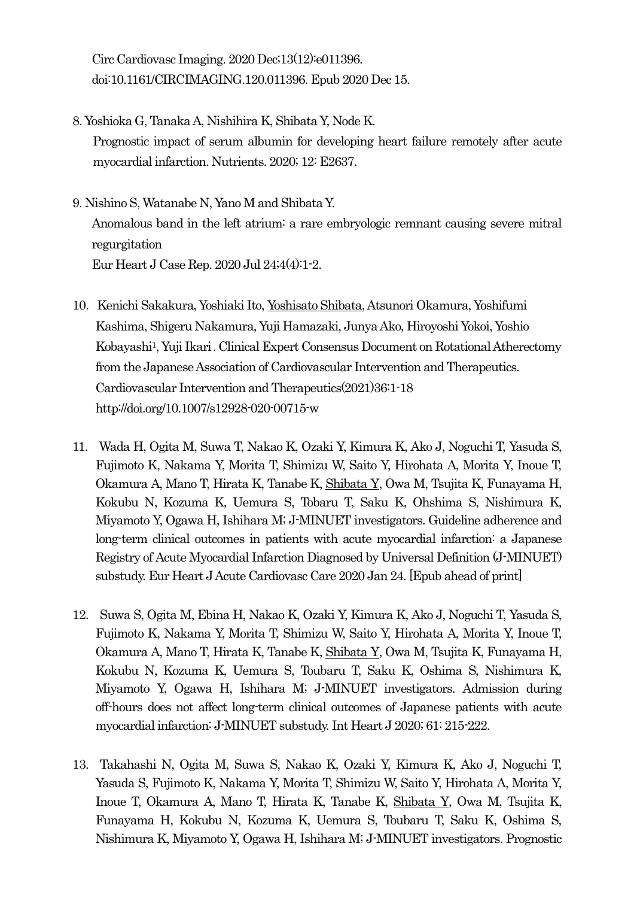Circ Cardiovasc Imaging. 2020 Dec;13(12):e011396. doi:10.1161/CIRCIMAGING.120.011396. Epub 2020 Dec 15.

- 8. Yoshioka G, Tanaka A, Nishihira K, Shibata Y, Node K. Prognostic impact of serum albumin for developing heart failure remotely after acute myocardial infarction. Nutrients. 2020; 12: E2637.
- 9. Nishino S, Watanabe N, Yano M and Shibata Y. Anomalous band in the left atrium: a rare embryologic remnant causing severe mitral regurgitation Eur Heart J Case Rep. 2020 Jul 24;4(4):1-2.
- 10. Kenichi Sakakura, Yoshiaki Ito, Yoshisato Shibata, Atsunori Okamura, Yoshifumi Kashima, Shigeru Nakamura, Yuji Hamazaki, Junya Ako, Hiroyoshi Yokoi, Yoshio Kobayashi1, Yuji Ikari. Clinical Expert Consensus Document on Rotational Atherectomy from the Japanese Association of Cardiovascular Intervention and Therapeutics. Cardiovascular Intervention and Therapeutics(2021)36:1-18 <http://doi.org/10.1007/s12928-020-00715-w>
- 11. Wada H, Ogita M, Suwa T, Nakao K, Ozaki Y, Kimura K, Ako J, Noguchi T, Yasuda S, Fujimoto K, Nakama Y, Morita T, Shimizu W, Saito Y, Hirohata A, Morita Y, Inoue T, Okamura A, Mano T, Hirata K, Tanabe K, Shibata Y, Owa M, Tsujita K, Funayama H, Kokubu N, Kozuma K, Uemura S, Tobaru T, Saku K, Ohshima S, Nishimura K, Miyamoto Y, Ogawa H, Ishihara M; J-MINUET investigators. Guideline adherence and long-term clinical outcomes in patients with acute myocardial infarction: a Japanese Registry of Acute Myocardial Infarction Diagnosed by Universal Definition (J-MINUET) substudy. Eur Heart J Acute Cardiovasc Care 2020 Jan 24. [Epub ahead of print]
- 12. Suwa S, Ogita M, Ebina H, Nakao K, Ozaki Y, Kimura K, Ako J, Noguchi T, Yasuda S, Fujimoto K, Nakama Y, Morita T, Shimizu W, Saito Y, Hirohata A, Morita Y, Inoue T, Okamura A, Mano T, Hirata K, Tanabe K, Shibata Y, Owa M, Tsujita K, Funayama H, Kokubu N, Kozuma K, Uemura S, Toubaru T, Saku K, Oshima S, Nishimura K, Miyamoto Y, Ogawa H, Ishihara M; J-MINUET investigators. Admission during off-hours does not affect long-term clinical outcomes of Japanese patients with acute myocardial infarction: J-MINUET substudy. Int Heart J 2020; 61: 215-222.
- 13. Takahashi N, Ogita M, Suwa S, Nakao K, Ozaki Y, Kimura K, Ako J, Noguchi T, Yasuda S, Fujimoto K, Nakama Y, Morita T, Shimizu W, Saito Y, Hirohata A, Morita Y, Inoue T, Okamura A, Mano T, Hirata K, Tanabe K, Shibata Y, Owa M, Tsujita K, Funayama H, Kokubu N, Kozuma K, Uemura S, Toubaru T, Saku K, Oshima S, Nishimura K, Miyamoto Y, Ogawa H, Ishihara M; J-MINUET investigators. Prognostic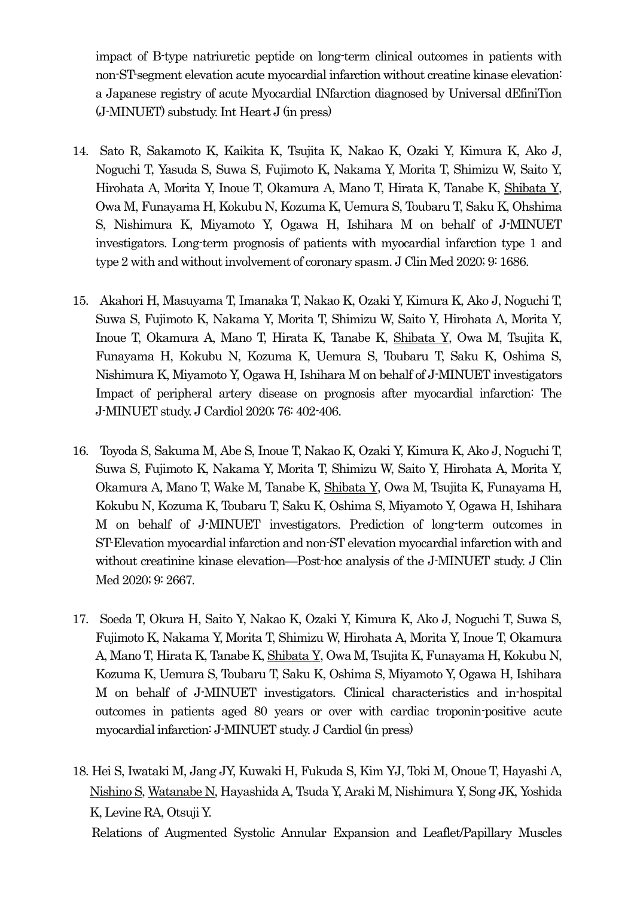impact of B-type natriuretic peptide on long-term clinical outcomes in patients with non-ST-segment elevation acute myocardial infarction without creatine kinase elevation: a Japanese registry of acute Myocardial INfarction diagnosed by Universal dEfiniTion (J-MINUET) substudy. Int Heart J (in press)

- 14. Sato R, Sakamoto K, Kaikita K, Tsujita K, Nakao K, Ozaki Y, Kimura K, Ako J, Noguchi T, Yasuda S, Suwa S, Fujimoto K, Nakama Y, Morita T, Shimizu W, Saito Y, Hirohata A, Morita Y, Inoue T, Okamura A, Mano T, Hirata K, Tanabe K, Shibata Y, Owa M, Funayama H, Kokubu N, Kozuma K, Uemura S, Toubaru T, Saku K, Ohshima S, Nishimura K, Miyamoto Y, Ogawa H, Ishihara M on behalf of J-MINUET investigators. Long-term prognosis of patients with myocardial infarction type 1 and type 2 with and without involvement of coronary spasm. J Clin Med 2020; 9: 1686.
- 15. Akahori H, Masuyama T, Imanaka T, Nakao K, Ozaki Y, Kimura K, Ako J, Noguchi T, Suwa S, Fujimoto K, Nakama Y, Morita T, Shimizu W, Saito Y, Hirohata A, Morita Y, Inoue T, Okamura A, Mano T, Hirata K, Tanabe K, Shibata Y, Owa M, Tsujita K, Funayama H, Kokubu N, Kozuma K, Uemura S, Toubaru T, Saku K, Oshima S, Nishimura K, Miyamoto Y, Ogawa H, Ishihara M on behalf of J-MINUET investigators Impact of peripheral artery disease on prognosis after myocardial infarction: The J-MINUET study. J Cardiol 2020; 76: 402-406.
- 16. Toyoda S, Sakuma M, Abe S, Inoue T, Nakao K, Ozaki Y, Kimura K, Ako J, Noguchi T, Suwa S, Fujimoto K, Nakama Y, Morita T, Shimizu W, Saito Y, Hirohata A, Morita Y, Okamura A, Mano T, Wake M, Tanabe K, Shibata Y, Owa M, Tsujita K, Funayama H, Kokubu N, Kozuma K, Toubaru T, Saku K, Oshima S, Miyamoto Y, Ogawa H, Ishihara M on behalf of J-MINUET investigators. Prediction of long-term outcomes in ST-Elevation myocardial infarction and non-ST elevation myocardial infarction with and without creatinine kinase elevation—Post-hoc analysis of the J-MINUET study. J Clin Med 2020; 9: 2667.
- 17. Soeda T, Okura H, Saito Y, Nakao K, Ozaki Y, Kimura K, Ako J, Noguchi T, Suwa S, Fujimoto K, Nakama Y, Morita T, Shimizu W, Hirohata A, Morita Y, Inoue T, Okamura A, Mano T, Hirata K, Tanabe K, Shibata Y, Owa M, Tsujita K, Funayama H, Kokubu N, Kozuma K, Uemura S, Toubaru T, Saku K, Oshima S, Miyamoto Y, Ogawa H, Ishihara M on behalf of J-MINUET investigators. Clinical characteristics and in-hospital outcomes in patients aged 80 years or over with cardiac troponin-positive acute myocardial infarction: J-MINUET study. J Cardiol (in press)
- 18. Hei S, Iwataki M, Jang JY, Kuwaki H, Fukuda S, Kim YJ, Toki M, Onoue T, Hayashi A, Nishino S, Watanabe N, Hayashida A, Tsuda Y, Araki M, Nishimura Y, Song JK, Yoshida K, Levine RA, Otsuji Y.

Relations of Augmented Systolic Annular Expansion and Leaflet/Papillary Muscles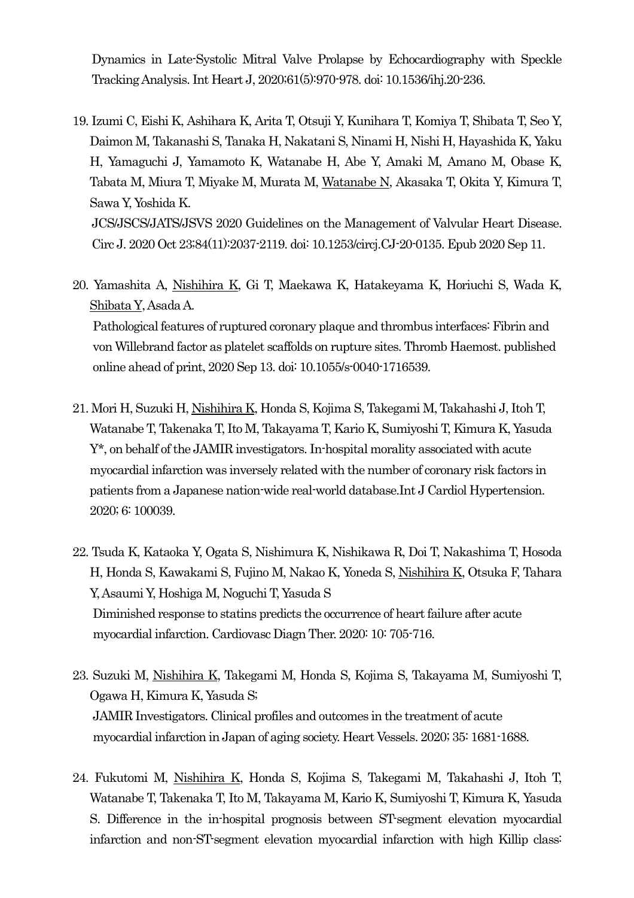Dynamics in Late-Systolic Mitral Valve Prolapse by Echocardiography with Speckle Tracking Analysis. Int Heart J, 2020;61(5):970-978. doi: 10.1536/ihj.20-236.

19. Izumi C, Eishi K, Ashihara K, Arita T, Otsuji Y, Kunihara T, Komiya T, Shibata T, Seo Y, Daimon M, Takanashi S, Tanaka H, Nakatani S, Ninami H, Nishi H, Hayashida K, Yaku H, Yamaguchi J, Yamamoto K, Watanabe H, Abe Y, Amaki M, Amano M, Obase K, Tabata M, Miura T, Miyake M, Murata M, Watanabe N, Akasaka T, Okita Y, Kimura T, Sawa Y, Yoshida K.

JCS/JSCS/JATS/JSVS 2020 Guidelines on the Management of Valvular Heart Disease. Circ J. 2020 Oct 23;84(11):2037-2119. doi: 10.1253/circj.CJ-20-0135. Epub 2020 Sep 11.

20. Yamashita A, Nishihira K, Gi T, Maekawa K, Hatakeyama K, Horiuchi S, Wada K, Shibata Y, Asada A. Pathological features of ruptured coronary plaque and thrombus interfaces: Fibrin and

von Willebrand factor as platelet scaffolds on rupture sites. Thromb Haemost. published online ahead of print, 2020 Sep 13. doi: 10.1055/s-0040-1716539.

- 21. Mori H, Suzuki H, Nishihira K, Honda S, Kojima S, Takegami M, Takahashi J, Itoh T, Watanabe T, Takenaka T, Ito M, Takayama T, Kario K, Sumiyoshi T, Kimura K, Yasuda Y\*, on behalf of the JAMIR investigators. In-hospital morality associated with acute myocardial infarction was inversely related with the number of coronary risk factors in patients from a Japanese nation-wide real-world database.Int J Cardiol Hypertension. 2020; 6: 100039.
- 22. Tsuda K, Kataoka Y, Ogata S, Nishimura K, Nishikawa R, Doi T, Nakashima T, Hosoda H, Honda S, Kawakami S, Fujino M, Nakao K, Yoneda S, Nishihira K, Otsuka F, Tahara Y, Asaumi Y, Hoshiga M, Noguchi T, Yasuda S Diminished response to statins predicts the occurrence of heart failure after acute myocardial infarction. Cardiovasc Diagn Ther. 2020: 10: 705-716.
- 23. Suzuki M, Nishihira K, Takegami M, Honda S, Kojima S, Takayama M, Sumiyoshi T, Ogawa H, Kimura K, Yasuda S; JAMIR Investigators. Clinical profiles and outcomes in the treatment of acute myocardial infarction in Japan of aging society. Heart Vessels. 2020; 35: 1681-1688.
- 24. Fukutomi M, Nishihira K, Honda S, Kojima S, Takegami M, Takahashi J, Itoh T, Watanabe T, Takenaka T, Ito M, Takayama M, Kario K, Sumiyoshi T, Kimura K, Yasuda S. Difference in the in-hospital prognosis between ST-segment elevation myocardial infarction and non-ST-segment elevation myocardial infarction with high Killip class: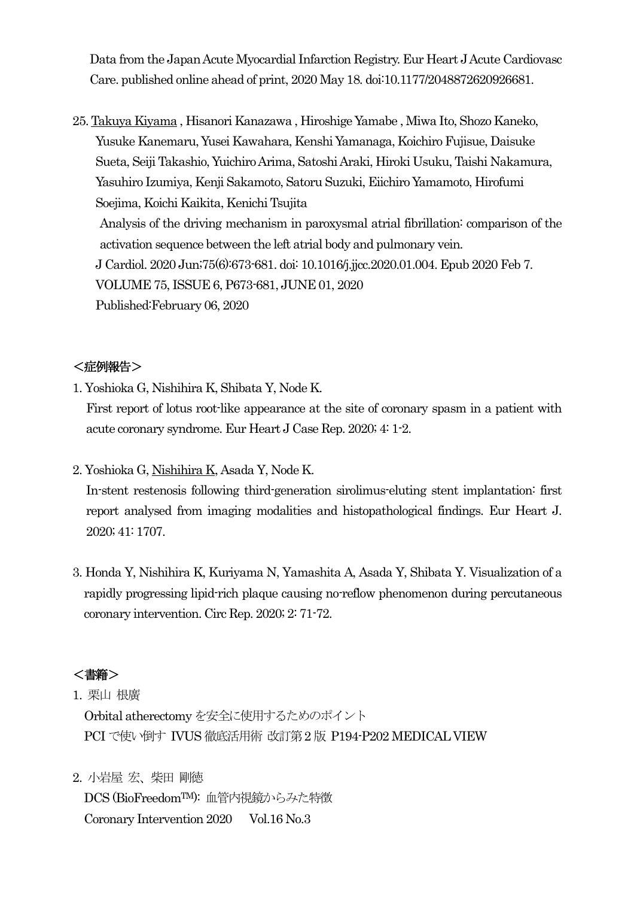Data from the Japan Acute Myocardial Infarction Registry. Eur Heart JAcute Cardiovasc Care. published online ahead of print, 2020 May 18. doi:10.1177/2048872620926681.

25. Takuya Kiyama , Hisanori Kanazawa , Hiroshige Yamabe , Miwa Ito, Shozo Kaneko, Yusuke Kanemaru, Yusei Kawahara, Kenshi Yamanaga, Koichiro Fujisue, Daisuke Sueta, Seiji Takashio, Yuichiro Arima, Satoshi Araki, Hiroki Usuku, Taishi Nakamura, Yasuhiro Izumiya, Kenji Sakamoto, Satoru Suzuki, Eiichiro Yamamoto, Hirofumi Soejima, Koichi Kaikita, Kenichi Tsujita Analysis of the driving mechanism in paroxysmal atrial fibrillation: comparison of the activation sequence between the left atrial body and pulmonary vein. J Cardiol. 2020 Jun;75(6):673-681. doi: 10.1016/j.jjcc.2020.01.004. Epub 2020 Feb 7. VOLUME 75, ISSUE 6, P673-681, JUNE 01, 2020 Published:February 06, 2020

## <症例報告>

1. Yoshioka G, Nishihira K, Shibata Y, Node K.

First report of lotus root-like appearance at the site of coronary spasm in a patient with acute coronary syndrome. Eur Heart J Case Rep. 2020; 4: 1-2.

2. Yoshioka G, Nishihira K, Asada Y, Node K.

In-stent restenosis following third-generation sirolimus-eluting stent implantation: first report analysed from imaging modalities and histopathological findings. Eur Heart J. 2020; 41: 1707.

3. Honda Y, Nishihira K, Kuriyama N, Yamashita A, Asada Y, Shibata Y. Visualization of a rapidly progressing lipid-rich plaque causing no-reflow phenomenon during percutaneous coronary intervention. Circ Rep. 2020; 2: 71-72.

## <書籍>

1. 栗山 根廣

 Orbital atherectomyを安全に使用するためのポイント PCI で使い倒す IVUS 徹底活用術 改訂第2版 P194-P202 MEDICAL VIEW

2. 小岩屋 宏、柴田 剛徳 DCS (BioFreedom™): 血管内視鏡からみた特徴 Coronary Intervention 2020 Vol.16 No.3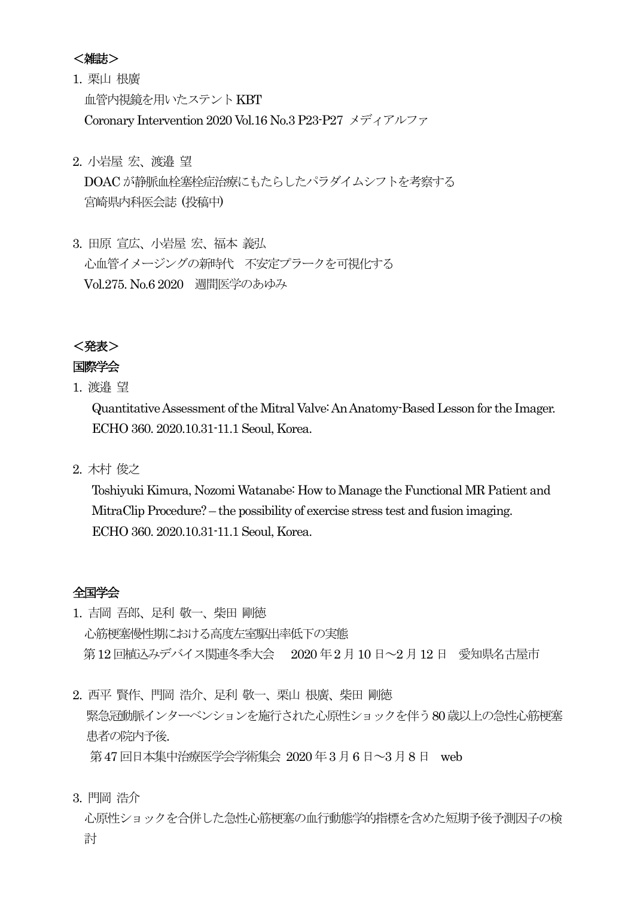## <雑誌>

- 1. 栗山 根廣 血管内視鏡を用いたステントKBT Coronary Intervention 2020 Vol.16 No.3 P23-P27 メディアルファ
- 2. 小岩屋 宏、渡邉 望

DOAC が静脈血栓塞栓症治療にもたらしたパラダイムシフトを考察する 宮崎県内科医会誌 (投稿中)

3. 田原 宣広、小岩屋 宏、福本 義弘 心血管イメージングの新時代 不安定プラークを可視化する Vol.275. No.6 2020 週間医学のあゆみ

<発表>

## 国際学会

1. 渡邉 望

Quantitative Assessment of the Mitral Valve: An Anatomy-Based Lesson for the Imager. ECHO 360. 2020.10.31-11.1 Seoul, Korea.

2. 木村 俊之

Toshiyuki Kimura, Nozomi Watanabe: How to Manage the Functional MR Patient and MitraClip Procedure? – the possibility of exercise stress test and fusion imaging. ECHO 360. 2020.10.31-11.1 Seoul, Korea.

### 全国学会

- 1. 吉岡 吾郎、足利 敬一、柴田 剛徳 心筋梗塞慢性期における高度左室駆出率低下の実態 第12 回植込みデバイス関連冬季大会 2020 年2 月10 日~2 月12 日 愛知県名古屋市
- 2. 西平 賢作、門岡 浩介、足利 敬一、栗山 根廣、柴田 剛徳 緊急冠動脈インターベンションを施行された心原性ショックを伴う80歳以上の急性心筋梗塞 患者の院内予後. 第47 回日本集中治療医学会学術集会 2020 年3月6 日~3 月8 日 web
- 3. 門岡 浩介

心原性ショックを合併した急性心筋梗塞の血行動態学的指標を含めた短期予後予測因子の検 討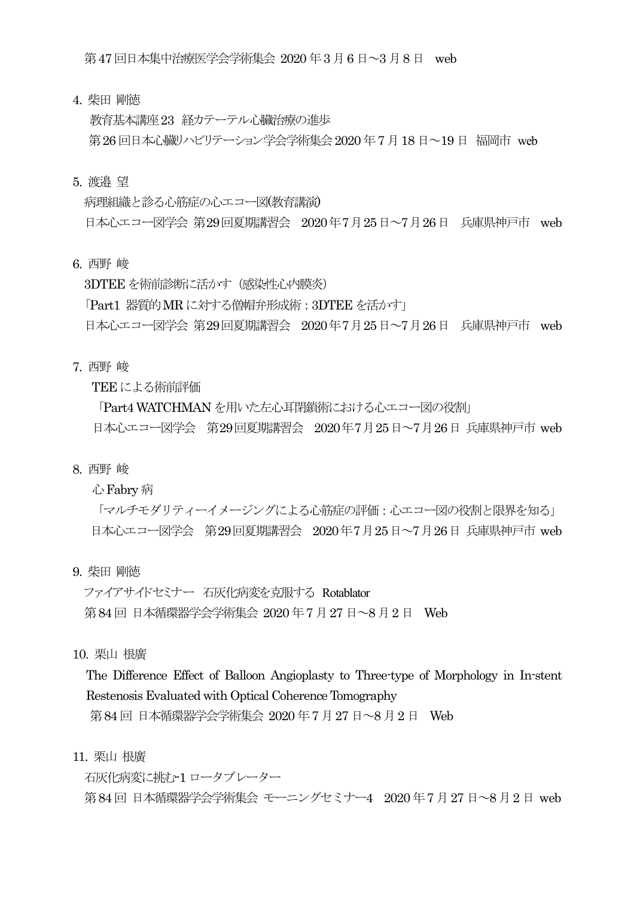第47 回日本集中治療医学会学術集会 2020 年3月6 日~3 月8 日 web

4. 柴田 剛徳

教育基本講座23 経カテーテル心臓治療の進歩 第26回日本心臓リハビリテーション学会学術集会 2020 年7月18日~19日 福岡市 web

5. 渡邉 望

病理組織と診る心筋症の心エコー図(教育講演) 日本心エコー図学会 第29回夏期講習会 2020年7月25日~7月26日 兵庫県神戸市 web

6. 西野 峻

3DTEE を術前診断に活かす(感染性心内膜炎) 「Part1 器質的 MR に対する僧帽弁形成術: 3DTEE を活かす」 日本心エコー図学会 第29回夏期講習会 2020年7月25日~7月26日 兵庫県神戸市 web

7. 西野 峻

TEE による術前評価

「Part4 WATCHMAN を用いた左心耳閉鎖術における心エコー図の役割」 日本心エコー図学会 第29回夏期講習会 2020年7月25日~7月26日 兵庫県神戸市 web

8. 西野 峻

心Fabry 病

「マルチモダリティーイメージングによる心筋症の評価:心エコー図の役割と限界を知る」 日本心エコー図学会 第29回夏期講習会 2020年7月25日~7月26日 兵庫県神戸市 web

9. 柴田 剛徳

ファイアサイドセミナー 石灰化病変を克服する Rotablator 第84回 日本循環器学会学術集会 2020年7月27日~8月2日 Web

10. 栗山 根廣

The Difference Effect of Balloon Angioplasty to Three-type of Morphology in In-stent Restenosis Evaluated with Optical Coherence Tomography

第84 回 日本循環器学会学術集会 2020 年7 月27 日~8 月2 日 Web

11. 栗山 根廣

石灰化病変に挑む-1 ロータブレーター

第84回 日本循環器学会学術集会 モーニングセミナー4 2020年7月27日~8月2日 web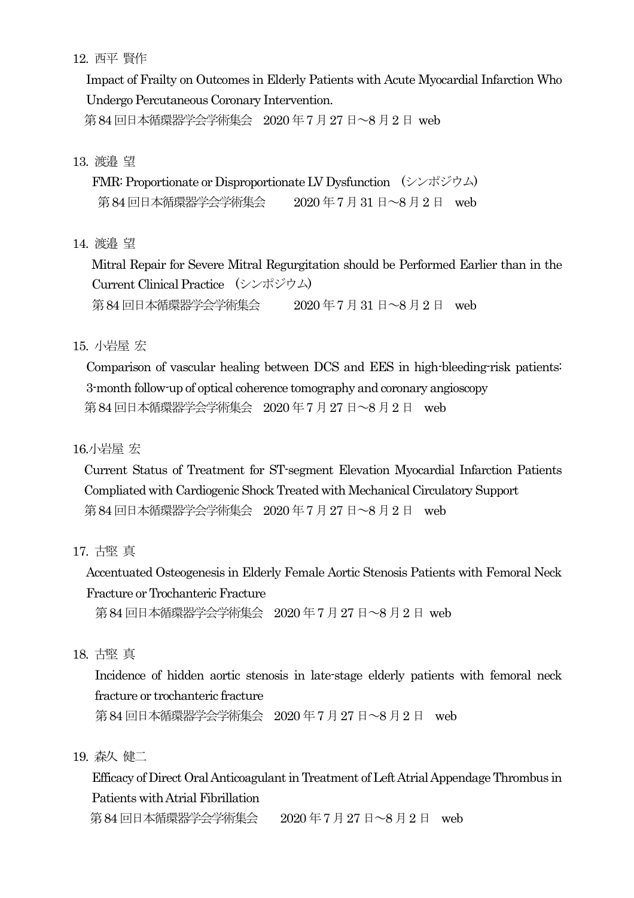## 12. 西平 賢作

Impact of Frailty on Outcomes in Elderly Patients with Acute Myocardial Infarction Who Undergo Percutaneous Coronary Intervention.

第84回日本循環器学会学術集会 2020年7月27日~8月2日 web

## 13. 渡邉 望

FMR: Proportionate or Disproportionate LV Dysfunction (シンポジウム) 第84回日本循環器学会学術集会 2020年7月31日~8月2日 web

## 14. 渡邉 望

Mitral Repair for Severe Mitral Regurgitation should be Performed Earlier than in the Current Clinical Practice (シンポジウム) 第84回日本循環器学会学術集会 2020年7月31日~8月2日 web

## 15. 小岩屋 宏

Comparison of vascular healing between DCS and EES in high-bleeding-risk patients: 3-month follow-up of optical coherence tomography and coronary angioscopy 第84回日本循環器学会学術集会 2020年7月27日〜8月2日 web

# 16.小岩屋 宏

Current Status of Treatment for ST-segment Elevation Myocardial Infarction Patients Compliated with Cardiogenic Shock Treated with Mechanical Circulatory Support 第84回日本循環器学会学術集会 2020年7月27日~8月2日 web

17. 古堅 真

Accentuated Osteogenesis in Elderly Female Aortic Stenosis Patients with Femoral Neck Fracture or Trochanteric Fracture

第84回日本循環器学会学術集会 2020年7月27日~8月2日 web

## 18. 古堅 真

Incidence of hidden aortic stenosis in late-stage elderly patients with femoral neck fracture or trochanteric fracture

第 84 回日本循環器学会学術集会 2020 年 7 月 27 日~8 月 2 日 web

19. 森久 健二

Efficacy of Direct Oral Anticoagulant in Treatment of Left Atrial Appendage Thrombus in Patients with Atrial Fibrillation

第84回日本循環器学会学術集会 2020年7月27日~8月2日 web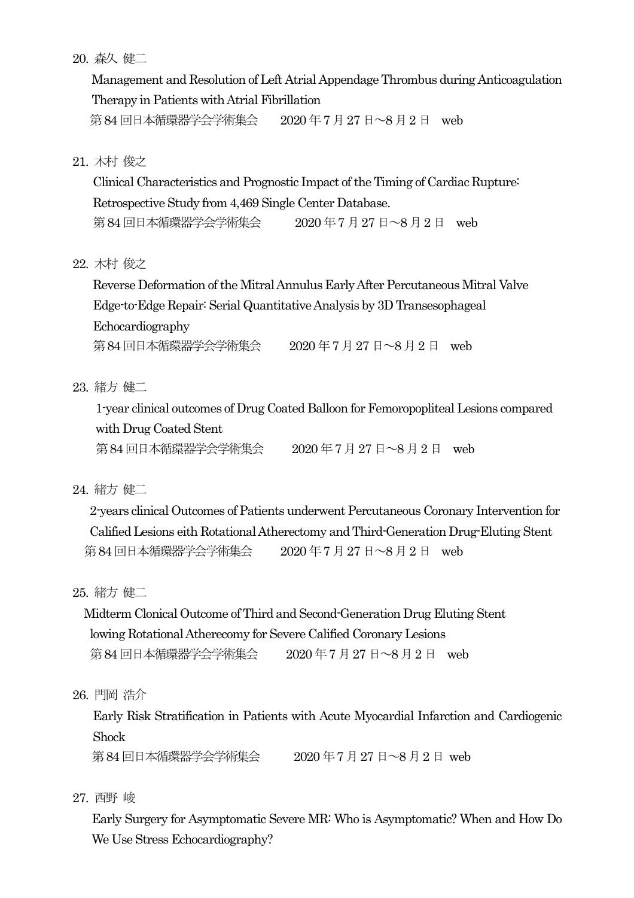20. 森久 健二

Management and Resolution of Left Atrial Appendage Thrombus during Anticoagulation Therapy in Patients with Atrial Fibrillation 第 84 回日本循環器学会学術集会 2020 年 7 月 27 日~8 月 2 日 web

21. 木村 俊之

Clinical Characteristics and Prognostic Impact of the Timing of Cardiac Rupture: Retrospective Study from 4,469 Single Center Database. 第84回日本循環器学会学術集会 2020年7月27日~8月2日 web

22. 木村 俊之

Reverse Deformation of the Mitral Annulus Early After Percutaneous Mitral Valve Edge-to-Edge Repair: Serial Quantitative Analysis by 3D Transesophageal Echocardiography 第84回日本循環器学会学術集会 2020年7月27日~8月2日 web

23. 緒方 健二

 1-year clinical outcomes of Drug Coated Balloon for Femoropopliteal Lesions compared with Drug Coated Stent 第84回日本循環器学会学術集会 2020年7月27日~8月2日 web

24. 緒方 健二

 2-years clinical Outcomes of Patients underwent Percutaneous Coronary Intervention for Calified Lesions eith Rotational Atherectomy and Third-Generation Drug-Eluting Stent 第84回日本循環器学会学術集会 2020年7月27日~8月2日 web

25. 緒方 健二

Midterm Clonical Outcome of Third and Second-Generation Drug Eluting Stent lowing Rotational Atherecomy for Severe Calified Coronary Lesions 第 84 回日本循環器学会学術集会 2020 年 7 月 27 日~8 月 2 日 web

26. 門岡 浩介

Early Risk Stratification in Patients with Acute Myocardial Infarction and Cardiogenic Shock

第84回日本循環器学会学術集会 2020年7月27日~8月2日 web

27. 西野 峻

Early Surgery for Asymptomatic Severe MR: Who is Asymptomatic? When and How Do We Use Stress Echocardiography?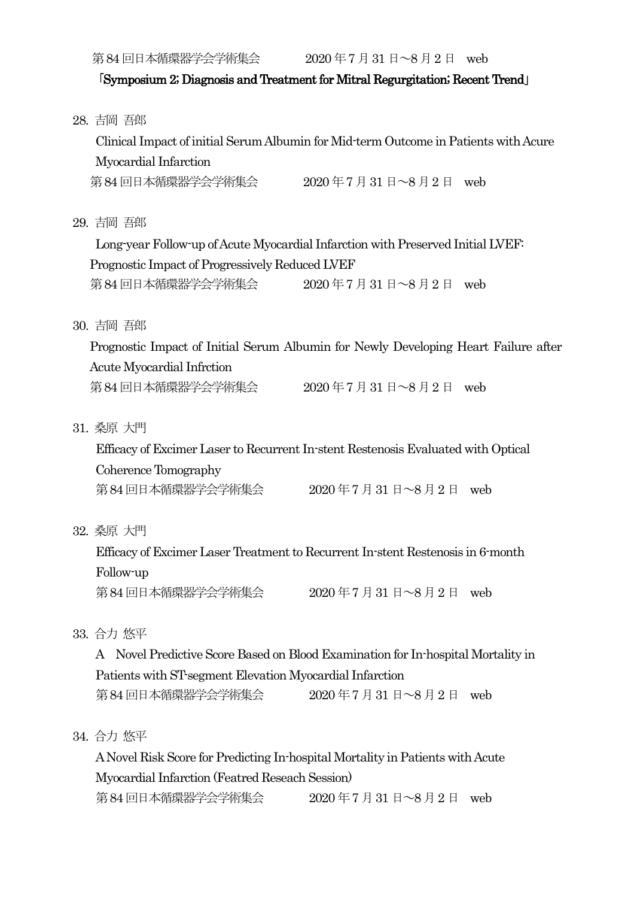第84回日本循環器学会学術集会 2020年7月31日~8月2日 web

# 「Symposium 2; Diagnosis and Treatment for Mitral Regurgitation; Recent Trend」

|  | 28. 吉岡 吾郎                                                                            |  |
|--|--------------------------------------------------------------------------------------|--|
|  | Clinical Impact of initial Serum Albumin for Mid-term Outcome in Patients with Acure |  |
|  | Myocardial Infarction                                                                |  |
|  | 第84回日本循環器学会学術集会 2020年7月31日~8月2日 web                                                  |  |
|  | 29. 吉岡 吾郎                                                                            |  |
|  | Long-year Follow-up of Acute Myocardial Infarction with Preserved Initial LVEF.      |  |
|  | Prognostic Impact of Progressively Reduced LVEF                                      |  |
|  | 第84回日本循環器学会学術集会 2020年7月31日~8月2日 web                                                  |  |
|  | 30. 吉岡 吾郎                                                                            |  |
|  | Prognostic Impact of Initial Serum Albumin for Newly Developing Heart Failure after  |  |
|  | Acute Myocardial Infrction                                                           |  |
|  | 第84回日本循環器学会学術集会 2020年7月31日~8月2日 web                                                  |  |
|  | 31. 桑原 大門                                                                            |  |
|  | Efficacy of Excimer Laser to Recurrent In-stent Restenosis Evaluated with Optical    |  |
|  | Coherence Tomography                                                                 |  |
|  |                                                                                      |  |
|  | 32. 桑原 大門                                                                            |  |
|  | Efficacy of Excimer Laser Treatment to Recurrent In-stent Restenosis in 6-month      |  |
|  | Follow-up                                                                            |  |
|  | 第84回日本循環器学会学術集会<br>$2020 = 7 \text{ J}31 = -8 \text{ J}2 \text{ H}$ web              |  |
|  | 33. 合力 悠平                                                                            |  |
|  | A Novel Predictive Score Based on Blood Examination for In-hospital Mortality in     |  |
|  | Patients with ST-segment Elevation Myocardial Infarction                             |  |
|  |                                                                                      |  |
|  | 34. 合力 悠平                                                                            |  |
|  | A Novel Risk Score for Predicting In-hospital Mortality in Patients with Acute       |  |
|  | Myocardial Infarction (Featred Reseach Session)                                      |  |

第84回日本循環器学会学術集会 2020年7月31日~8月2日 web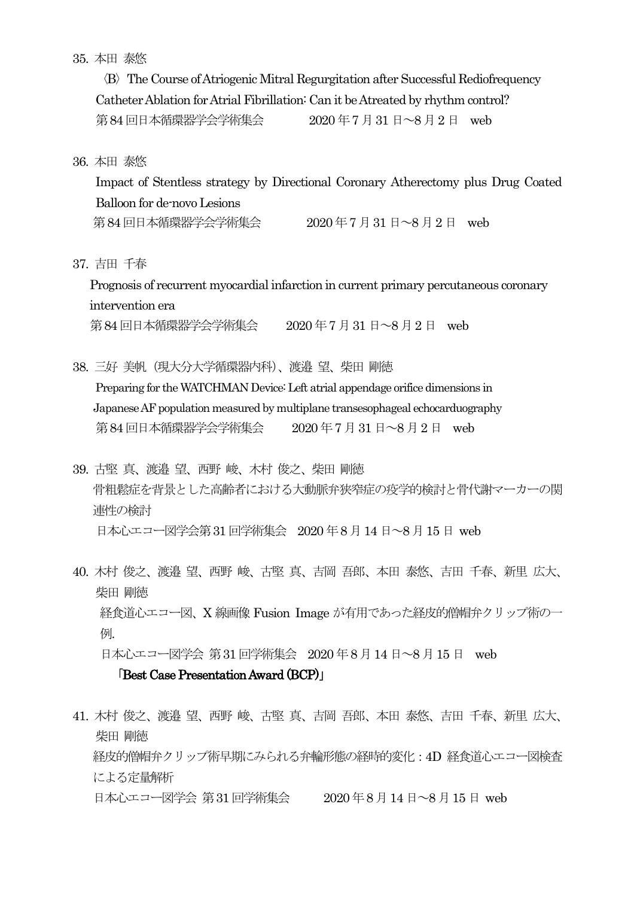### 35. 本田 泰悠

 〈B〉The Course of Atriogenic Mitral Regurgitation after Successful Rediofrequency CatheterAblation for Atrial Fibrillation: Can it be Atreated by rhythm control? 第84回日本循環器学会学術集会 2020年7月31日~8月2日 web

36. 本田 泰悠

 Impact of Stentless strategy by Directional Coronary Atherectomy plus Drug Coated Balloon for de-novo Lesions 第84回日本循環器学会学術集会 2020年7月31日~8月2日 web

37. 吉田 千春

Prognosis of recurrent myocardial infarction in current primary percutaneous coronary intervention era 第84回日本循環器学会学術集会 2020年7月31日~8月2日 web

38. 三好 美帆(現大分大学循環器内科)、渡邉 望、柴田 剛徳

 Preparing for the WATCHMAN Device: Left atrial appendage orifice dimensions in Japanese AF population measured by multiplane transesophageal echocarduography 第84回日本循環器学会学術集会 2020年7月31日~8月2日 web

- 39. 古堅 真、渡邉 望、西野 峻、木村 俊之、柴田 剛徳 骨粗鬆症を背景とした高齢者における大動脈弁狭窄症の疫学的検討と骨代謝マーカーの関 連性の検討 日本心エコー図学会第31 回学術集会 2020 年8月14 日~8 月15 日 web
- 40. 木村 俊之、渡邉 望、西野 峻、古堅 真、吉岡 吾郎、本田 泰悠、吉田 千春、新里 広大、 柴田 剛徳 経食道心エコー図、X 線画像 Fusion Image が有用であった経皮的僧帽弁クリップ術の一 例. 日本心エコー図学会 第31 回学術集会 2020 年8月14 日~8 月15 日 web

「Best Case Presentation Award (BCP)」

41. 木村 俊之、渡邉 望、西野 峻、古堅 真、吉岡 吾郎、本田 泰悠、吉田 千春、新里 広大、 柴田 剛徳 経皮的僧帽弁クリップ術早期にみられる弁輪形態の経時的変化:4D 経食道心エコー図検査 による定量解析 日本心エコー図学会 第31回学術集会 2020年8月14日~8月15日 web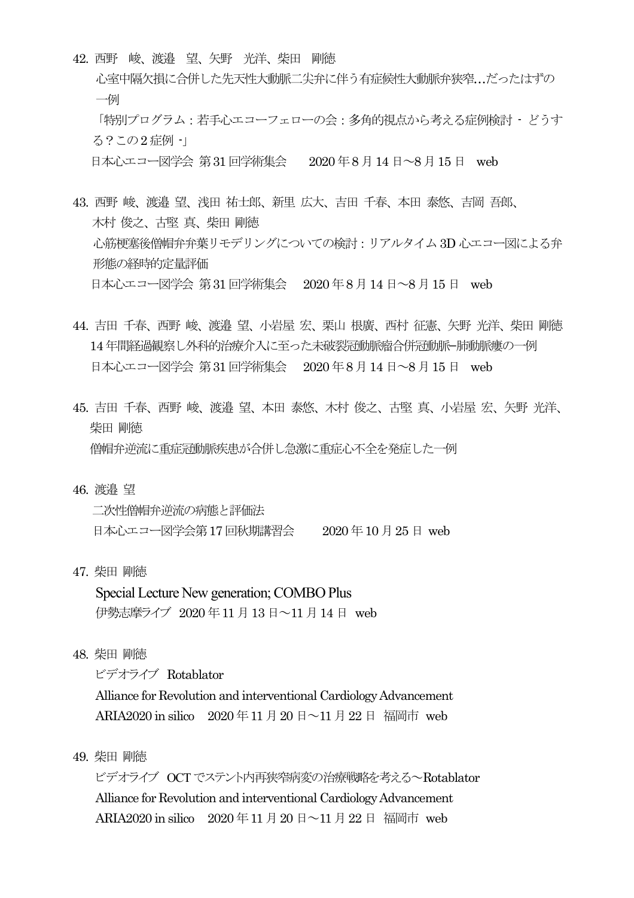42. 西野 峻、渡邉 望、矢野 光洋、柴田 剛徳

心室中隔欠損に合併した先天性大動脈二尖弁に伴う有症候性大動脈弁狭窄…だったはずの 一例 「特別プログラム:若手心エコーフェローの会:多角的視点から考える症例検討 - どうす る?この2 症例 -」 日本心エコー図学会 第31 回学術集会 2020年8 月14日~8 月15 日 web

- 43. 西野 峻、渡邉 望、浅田 祐士郎、新里 広大、吉田 千春、本田 泰悠、吉岡 吾郎、 木村 俊之、古堅 真、柴田 剛徳 心筋梗塞後僧帽弁弁葉リモデリングについての検討:リアルタイム3D 心エコー図による弁 形態の経時的定量評価 日本心エコー図学会 第31 回学術集会 2020 年8 月14 日~8 月15 日 web
- 44. 吉田 千春、西野 峻、渡邉 望、小岩屋 宏、栗山 根廣、西村 征憲、矢野 光洋、柴田 剛徳 14年間経過観察し外科的治療介入に至った未破裂冠動脈瘤合併冠動脈−肺動脈瘻の一例 日本心エコー図学会 第31 回学術集会 2020 年8 月14 日~8 月15 日 web
- 45. 吉田 千春、西野 峻、渡邉 望、本田 泰悠、木村 俊之、古堅 真、小岩屋 宏、矢野 光洋、 柴田 剛徳 僧帽弁逆流に重症冠動脈疾患が合併し急激に重症心不全を発症した一例
- 46. 渡邉 望

二次性僧帽弁逆流の病態と評価法 日本心エコー図学会第17 回秋期講習会 2020 年10 月25 日 web

47. 柴田 剛徳

 Special Lecture New generation; COMBO Plus 伊勢志摩ライブ 2020 年11 月13日~11 月14 日 web

48. 柴田 剛徳

ビデオライブ Rotablator

 Alliance for Revolution and interventional Cardiology Advancement ARIA2020 in silico 2020年11月20日~11月22日 福岡市 web

49. 柴田 剛徳

 ビデオライブ OCT でステント内再狭窄病変の治療戦略を考える~Rotablator Alliance for Revolution and interventional Cardiology Advancement ARIA2020 in silico 2020年11月20日~11月22日 福岡市 web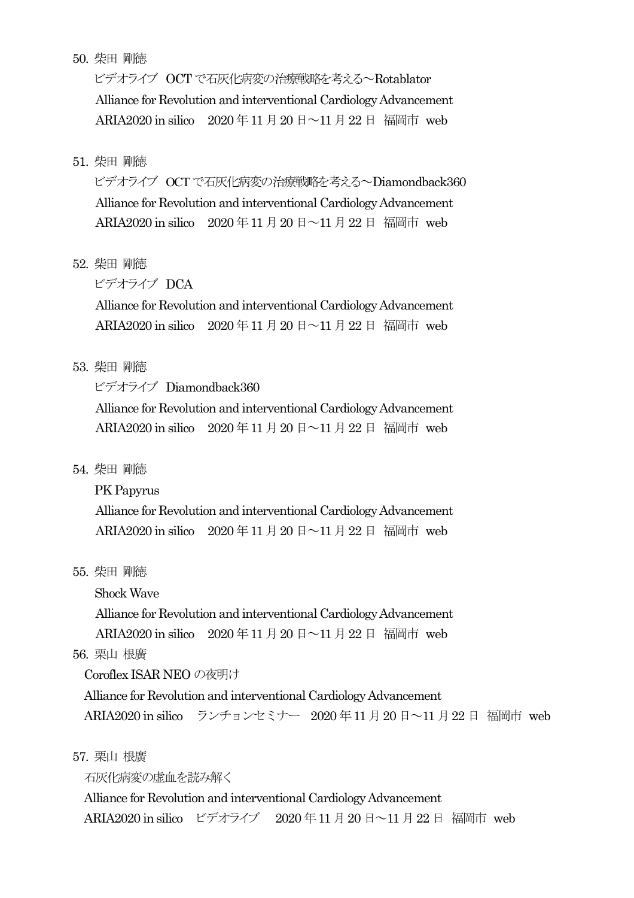### 50. 柴田 剛徳

ビデオライブ OCT で石灰化病変の治療戦略を考える~Rotablator Alliance for Revolution and interventional Cardiology Advancement ARIA2020 in silico 2020 年 11 月 20 日 ~11 月 22 日 福岡市 web

### 51. 柴田 剛徳

ビデオライブ OCT で石灰化病変の治療戦略を考える~Diamondback360 Alliance for Revolution and interventional Cardiology Advancement ARIA2020 in silico 2020 年11 月20 日~11月22 日 福岡市 web

### 52. 柴田 剛徳

ビデオライブ DCA

 Alliance for Revolution and interventional Cardiology Advancement ARIA2020 in silico 2020 年11 月20 日~11月22 日 福岡市 web

#### 53. 柴田 剛徳

ビデオライブ Diamondback360

 Alliance for Revolution and interventional Cardiology Advancement ARIA2020 in silico 2020年11月20日~11月22日 福岡市 web

#### 54. 柴田 剛徳

PK Papyrus

 Alliance for Revolution and interventional Cardiology Advancement ARIA2020 in silico 2020 年11 月20 日~11月22 日 福岡市 web

### 55. 柴田 剛徳

Shock Wave

Alliance for Revolution and interventional Cardiology Advancement

ARIA2020 in silico 2020 年11 月20 日~11月22 日 福岡市 web

### 56. 栗山 根廣

Coroflex ISAR NEO の夜明け

Alliance for Revolution and interventional Cardiology Advancement ARIA2020 in silico ランチョンセミナー 2020年11月20日~11月22日 福岡市 web

57. 栗山 根廣

石灰化病変の虚血を読み解く

Alliance for Revolution and interventional Cardiology Advancement ARIA2020 in silico ビデオライブ 2020年11月20日~11月22日 福岡市 web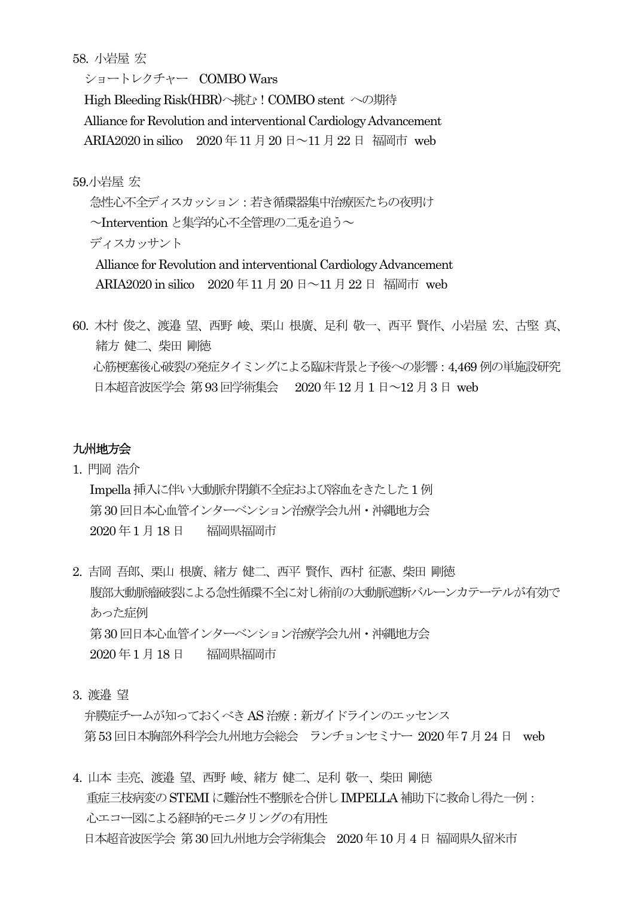58. 小岩屋 宏

ショートレクチャー COMBO Wars

High Bleeding Risk(HBR)へ挑む!COMBO stent への期待 Alliance for Revolution and interventional Cardiology Advancement ARIA2020 in silico  $2020 \not\equiv 11 \not\equiv 20 \not\equiv \sim 11 \not\equiv 22 \not\equiv 4$  福岡市 web

59.小岩屋 宏

急性心不全ディスカッション:若き循環器集中治療医たちの夜明け ~Intervention と集学的心不全管理の二兎を追う~ ディスカッサント Alliance for Revolution and interventional Cardiology Advancement

ARIA2020 in silico  $2020 \n\equiv 11 \n\equiv 20 \n\equiv 11 \n\equiv 22 \n\equiv 4$  福岡市 web

60. 木村 俊之、渡邉 望、西野 峻、栗山 根廣、足利 敬一、西平 賢作、小岩屋 宏、古堅 真、 緒方 健二、柴田 剛徳 心筋梗塞後心破裂の発症タイミングによる臨床背景と予後への影響:4,469 例の単施設研究 日本超音波医学会 第93回学術集会 2020年12月1日~12月3日 web

### 九州地方会

- 1. 門岡 浩介 Impella挿入に伴い大動脈弁閉鎖不全症および溶血をきたした1例 第30 回日本心血管インターベンション治療学会九州・沖縄地方会 2020 年1 月18日 福岡県福岡市
- 2. 吉岡 吾郎、栗山 根廣、緒方 健二、西平 賢作、西村 征憲、柴田 剛徳 腹部大動脈瘤破裂による急性循環不全に対し術前の大動脈遮断バルーンカテーテルが有効で あった症例 第30 回日本心血管インターベンション治療学会九州・沖縄地方会 2020 年1 月18日 福岡県福岡市
- 3. 渡邉 望

弁膜症チームが知っておくべきAS 治療:新ガイドラインのエッセンス 第53回日本胸部外科学会九州地方会総会 ランチョンセミナー 2020年7月24日 web

4. 山本 圭亮、渡邉 望、西野 峻、緒方 健二、足利 敬一、柴田 剛徳 重症三枝病変のSTEMIに難治性不整脈を合併しIMPELLA 補助下に救命し得た一例: 心エコー図による経時的モニタリングの有用性 日本超音波医学会 第30回九州地方会学術集会 2020 年10 月4日 福岡県久留米市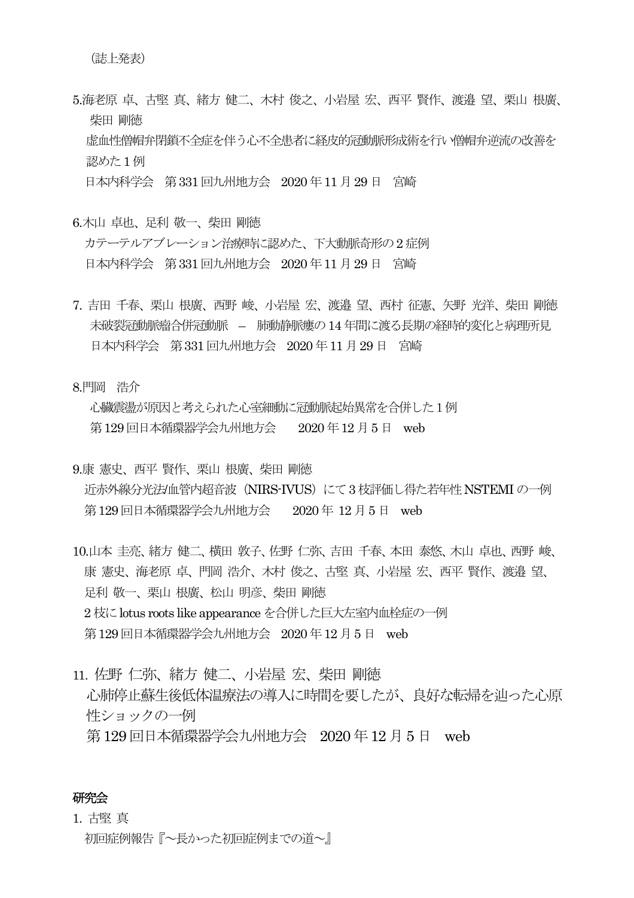5.海老原 卓、古堅 真、緒方 健二、木村 俊之、小岩屋 宏、西平 賢作、渡邉 望、栗山 根廣、 柴田 剛徳 虚血性僧帽弁閉鎖不全症を伴う心不全患者に経皮的冠動脈形成術を行い僧帽弁逆流の改善を 認めた1例 日本内科学会 第331回九州地方会 2020 年11月29 日 宮崎

- 6.木山 卓也、足利 敬一、柴田 剛徳 カテーテルアブレーション治療時に認めた、下大動脈奇形の2症例 日本内科学会 第331回九州地方会 2020 年11 月29 日 宮崎
- 7. 吉田 千春、栗山 根廣、西野 峻、小岩屋 宏、渡邉 望、西村 征憲、矢野 光洋、柴田 剛徳 未破裂冠動脈瘤合併冠動脈 – 肺動静脈瘻の14 年間に渡る長期の経時的変化と病理所見 日本内科学会 第331回九州地方会 2020 年11月29 日 宮崎

8.門岡 浩介

心臓震盪が原因と考えられた心室細動に冠動脈起始異常を合併した1例 第129回日本循環器学会九州地方会 2020年12月5日 web

- 9.康 憲史、西平 賢作、栗山 根廣、柴田 剛徳 近赤外線分光法/血管内超音波 (NIRS-IVUS) にて3 枝評価し得た若年性 NSTEMI の一例 第129回日本循環器学会九州地方会 2020年 12月5日 web
- 10.山本 圭亮、緒方 健二、横田 敦子、佐野 仁弥、吉田 千春、本田 泰悠、木山 卓也、西野 峻、 康 憲史、海老原 卓、門岡 浩介、木村 俊之、古堅 真、小岩屋 宏、西平 賢作、渡邉 望、 足利 敬一、栗山 根廣、松山 明彦、柴田 剛徳 2 枝にlotus roots like appearance を合併した巨大左室内血栓症の一例 第129回日本循環器学会九州地方会 2020年12月5日 web
- 11. 佐野 仁弥、緒方 健二、小岩屋 宏、柴田 剛徳 心肺停止蘇生後低体温療法の導入に時間を要したが、良好な転帰を辿った心原 性ショックの一例 第129 回日本循環器学会九州地方会 2020 年12 月5 日 web

### 研究会

# 1. 古堅 真 初回症例報告『~長かった初回症例までの道~』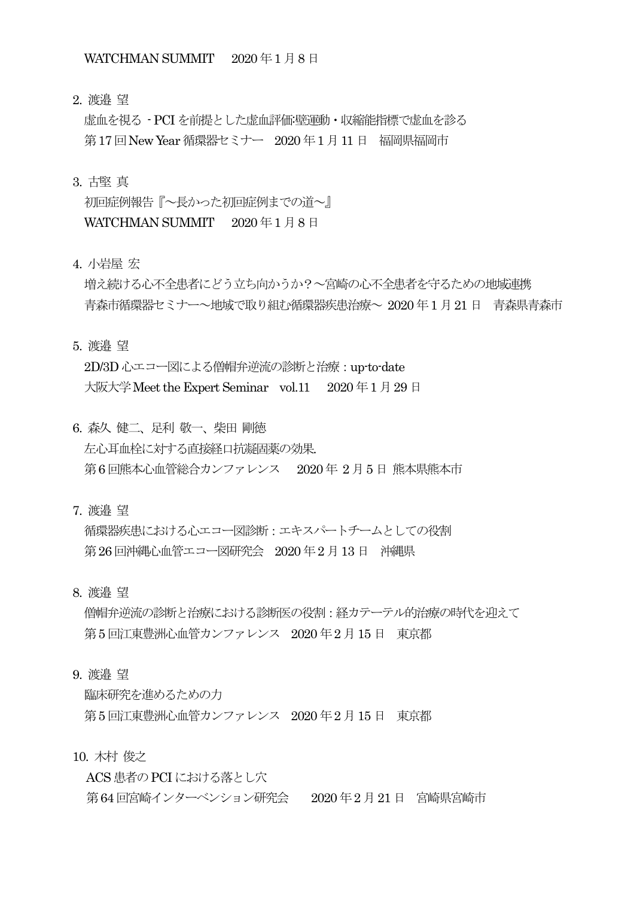2. 渡邉 望

虚血を視る - PCIを前提とした虚血評価:壁運動・収縮能指標で虚血を診る 第17回 New Year 循環器セミナー 2020年1月11日 福岡県福岡市

#### 3. 古堅 真

初回症例報告『~長かった初回症例までの道~』 WATCHMAN SUMMIT 2020年1月8日

4. 小岩屋 宏

増え続ける心不全患者にどう立ち向かうか?~宮崎の心不全患者を守るための地域連携 青森市循環器セミナー~地域で取り組む循環器疾患治療~ 2020 年1 月21 日 青森県青森市

5. 渡邉 望

2D/3D 心エコー図による僧帽弁逆流の診断と治療 : up-to-date 大阪大学 Meet the Expert Seminar vol.11 2020 年 1 月 29 日

- 6. 森久 健二、足利 敬一、柴田 剛徳 左心耳血栓に対する直接経口抗凝固薬の効果. 第6 回熊本心血管総合カンファレンス 2020年 2 月5 日 熊本県熊本市
- 7. 渡邉 望

循環器疾患における心エコー図診断:エキスパートチームとしての役割 第26回沖縄心血管エコー図研究会 2020年2月13日 沖縄県

8. 渡邉 望

僧帽弁逆流の診断と治療における診断医の役割:経カテーテル的治療の時代を迎えて 第5 回江東豊洲心血管カンファレンス 2020 年2 月15 日 東京都

9. 渡邉 望

臨床研究を進めるための力 第5 回江東豊洲心血管カンファレンス 2020 年2 月15 日 東京都

10. 木村 俊之

ACS 患者の PCI における落とし穴 第64 回宮崎インターベンション研究会 2020 年2 月21日 宮崎県宮崎市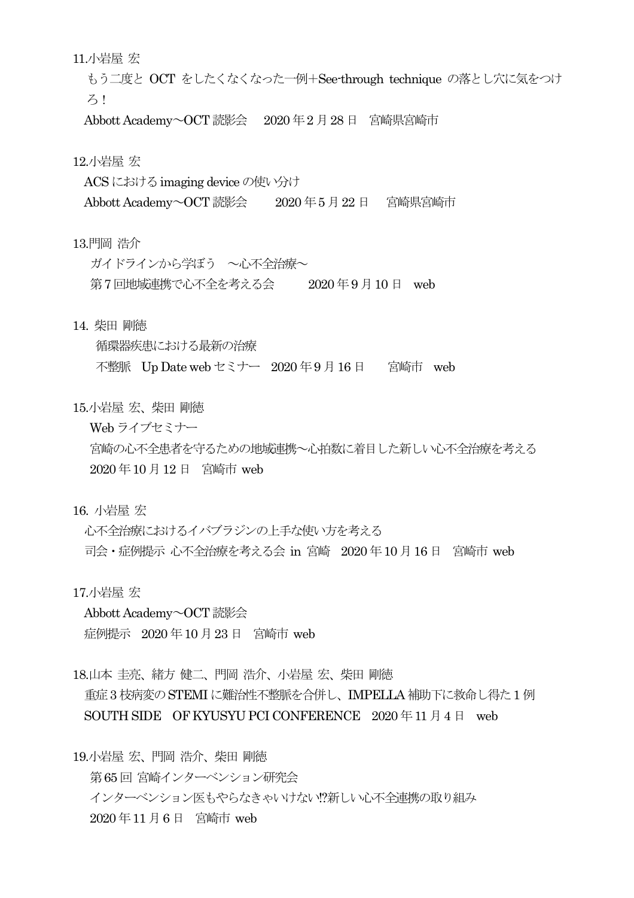11.小岩屋 宏

もう二度と OCT をしたくなくなった一例+See-through technique の落とし穴に気をつけ ろ!

Abbott Academy~OCT 読影会 2020年2月28日 宮崎県宮崎市

12.小岩屋 宏

ACS における imaging device の使い分け

Abbott Academy~OCT読影会 2020 年5 月22 日 宮崎県宮崎市

13.門岡 浩介

ガイドラインから学ぼう ~心不全治療~

第7 回地域連携で心不全を考える会 2020 年9 月10 日 web

14. 柴田 剛徳

循環器疾患における最新の治療 不整脈 Up Date web セミナー 2020 年9 月16日 宮崎市 web

15.小岩屋 宏、柴田 剛徳

Web ライブセミナー

宮崎の心不全患者を守るための地域連携~心拍数に着目した新しい心不全治療を考える 2020 年10 月12 日 宮崎市 web

16. 小岩屋 宏

心不全治療におけるイバブラジンの上手な使い方を考える 司会・症例提示 心不全治療を考える会 in 宮崎 2020 年10 月16日 宮崎市 web

17.小岩屋 宏

Abbott Academy~OCT 読影会 症例提示 2020 年10 月23 日 宮崎市 web

18.山本 圭亮、緒方 健二、門岡 浩介、小岩屋 宏、柴田 剛徳 重症3 枝病変のSTEMIに難治性不整脈を合併し、IMPELLA 補助下に救命し得た1 例 SOUTH SIDE OF KYUSYU PCI CONFERENCE 2020年11月4日 web

19.小岩屋 宏、門岡 浩介、柴田 剛徳 第65 回 宮崎インターベンション研究会 インターベンション医もやらなきゃいけない!?新しい心不全連携の取り組み 2020 年11 月6日 宮崎市 web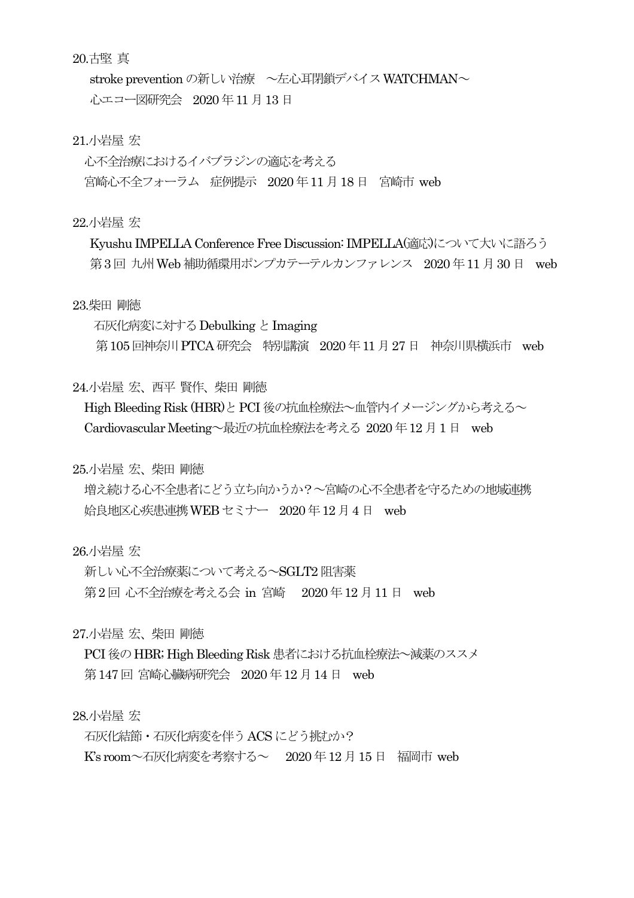### 20.古堅 真

stroke prevention の新しい治療 ~左心耳閉鎖デバイス WATCHMAN~ 心エコー図研究会 2020 年11 月13日

### 21.小岩屋 宏

心不全治療におけるイバブラジンの適応を考える 宮崎心不全フォーラム 症例提示 2020 年11 月18 日 宮崎市 web

#### 22.小岩屋 宏

Kyushu IMPELLA Conference Free Discussion: IMPELLA(適応)について大いに語ろう 第3回 九州 Web 補助循環用ポンプカテーテルカンファレンス 2020年11月30日 web

#### 23.柴田 剛徳

 石灰化病変に対するDebulking とImaging 第105回神奈川 PTCA 研究会 特別講演 2020年11月27日 神奈川県横浜市 web

#### 24.小岩屋 宏、西平 賢作、柴田 剛徳

High Bleeding Risk (HBR)と PCI 後の抗血栓療法~血管内イメージングから考える~ Cardiovascular Meeting~最近の抗血栓療法を考える 2020 年12 月1日 web

25.小岩屋 宏、柴田 剛徳

増え続ける心不全患者にどう立ち向かうか?~宮崎の心不全患者を守るための地域連携 姶良地区心疾患連携WEB セミナー 2020 年12月4 日 web

26.小岩屋 宏

新しい心不全治療薬について考える~SGLT2 阻害薬 第2回 心不全治療を考える会 in 宮崎 2020年12月11日 web

27.小岩屋 宏、柴田 剛徳

PCI 後のHBR; High Bleeding Risk 患者における抗血栓療法~減薬のススメ 第147回 宮崎心臓病研究会 2020年12月14日 web

28.小岩屋 宏

石灰化結節・石灰化病変を伴うACS にどう挑むか?

K's room~石灰化病変を考察する~ 2020 年12 月15 日 福岡市 web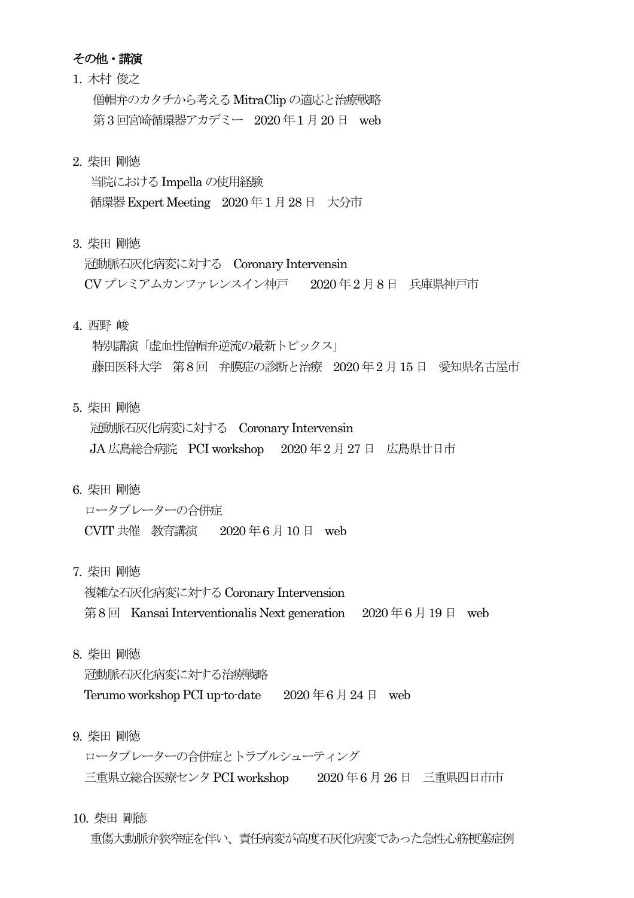### その他・講演

- 1. 木村 俊之 僧帽弁のカタチから考えるMitraClipの適応と治療戦略 第3回宮崎循環器アカデミー 2020年1月20日 web
- 2. 柴田 剛徳

当院におけるImpella の使用経験 循環器Expert Meeting 2020 年1 月28日 大分市

3. 柴田 剛徳

冠動脈石灰化病変に対する Coronary Intervensin CV プレミアムカンファレンスイン神戸 2020 年2 月8日 兵庫県神戸市

4. 西野 峻

特別講演「虚血性僧帽弁逆流の最新トピックス」 藤田医科大学 第8回 弁膜症の診断と治療 2020 年2 月15 日 愛知県名古屋市

5. 柴田 剛徳

冠動脈石灰化病変に対する Coronary Intervensin JA 広島総合病院 PCI workshop 2020 年2 月27 日 広島県廿日市

6. 柴田 剛徳

ロータブレーターの合併症 CVIT 共催 教育講演 2020 年6 月10 日 web

7. 柴田 剛徳

複雑な石灰化病変に対するCoronary Intervension 第8回 Kansai Interventionalis Next generation  $2020 \oplus 6 \oplus 19 \oplus \text{web}$ 

8. 柴田 剛徳

冠動脈石灰化病変に対する治療戦略

Terumo workshop PCI up-to-date  $2020 \notin 6 \nparallel 24 \nparallel$  web

9. 柴田 剛徳

ロータブレーターの合併症とトラブルシューティング 三重県立総合医療センタPCI workshop 2020 年6 月26 日 三重県四日市市

10. 柴田 剛徳

重傷大動脈弁狭窄症を伴い、責任病変が高度石灰化病変であった急性心筋梗塞症例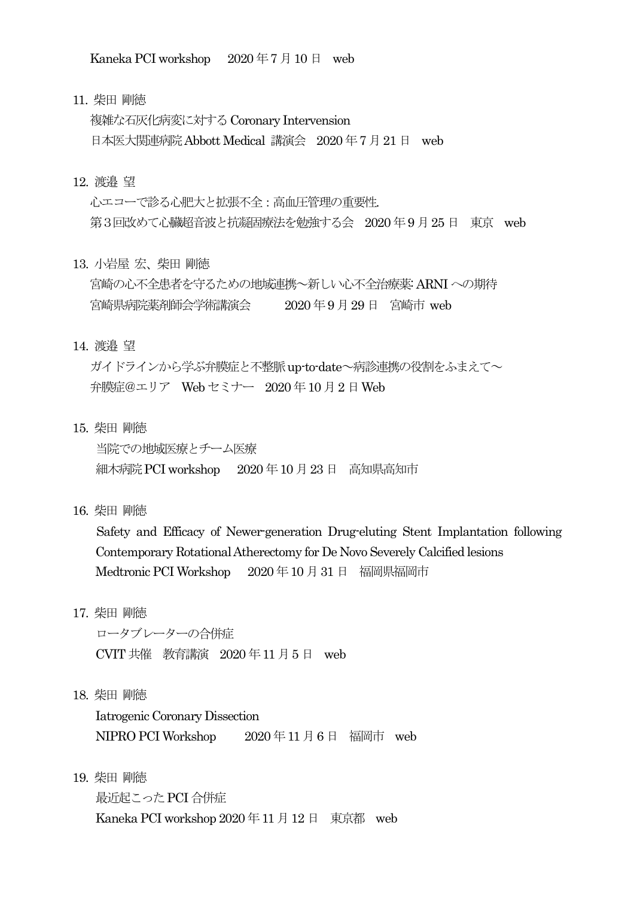Kaneka PCI workshop 2020年7月10日 web

11. 柴田 剛徳

複雑な石灰化病変に対するCoronary Intervension 日本医大関連病院Abbott Medical 講演会 2020 年7 月21日 web

#### 12. 渡邉 望

心エコーで診る心肥大と拡張不全:高血圧管理の重要性. 第3回改めて心臓超音波と抗凝固療法を勉強する会 2020年9月25日 東京 web

13. 小岩屋 宏、柴田 剛徳

宮崎の心不全患者を守るための地域連携~新しい心不全治療薬: ARNIへの期待 宮崎県病院薬剤師会学術講演会 2020 年9月29 日 宮崎市 web

14. 渡邉 望

ガイドラインから学ぶ弁膜症と不整脈up-to-date~病診連携の役割をふまえて~ 弁膜症@エリア Web セミナー 2020 年10 月2日Web

15. 柴田 剛徳

 当院での地域医療とチーム医療 細木病院PCI workshop 2020 年10 月23日 高知県高知市

16. 柴田 剛徳

 Safety and Efficacy of Newer-generation Drug-eluting Stent Implantation following Contemporary Rotational Atherectomy for De Novo Severely Calcified lesions Medtronic PCI Workshop 2020 年10 月31 日 福岡県福岡市

17. 柴田 剛徳

 ロータブレーターの合併症 CVIT共催 教育講演 2020 年11 月5 日 web

18. 柴田 剛徳

 Iatrogenic Coronary Dissection NIPRO PCI Workshop 2020年11月6日 福岡市 web

19. 柴田 剛徳

 最近起こったPCI 合併症 Kaneka PCI workshop 2020年11月12日 東京都 web